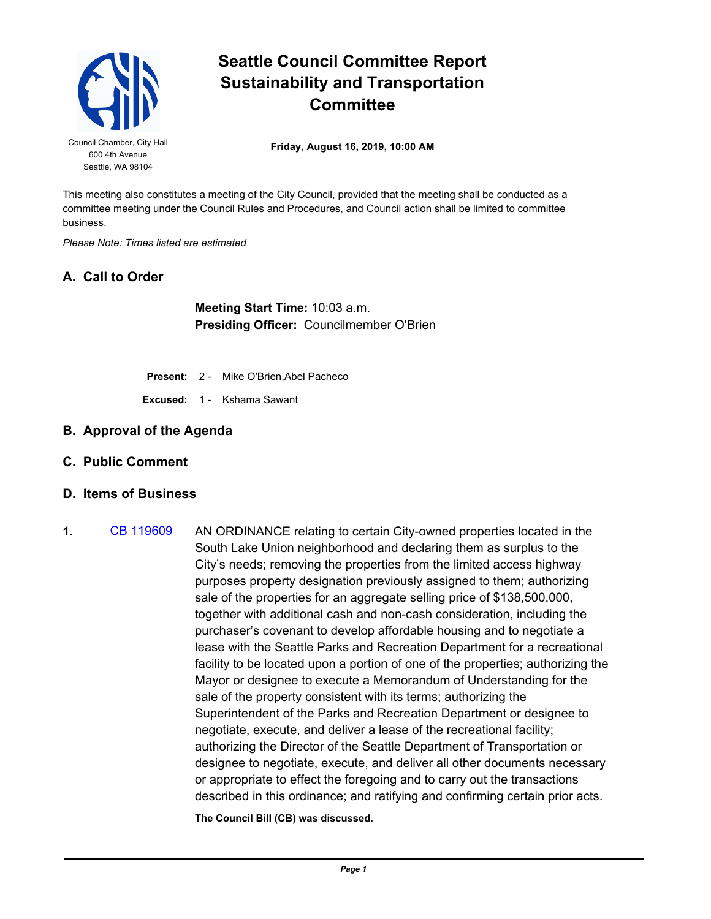

## **Seattle Council Committee Report Sustainability and Transportation Committee**

**Friday, August 16, 2019, 10:00 AM** Council Chamber, City Hall

This meeting also constitutes a meeting of the City Council, provided that the meeting shall be conducted as a committee meeting under the Council Rules and Procedures, and Council action shall be limited to committee business.

*Please Note: Times listed are estimated*

## **A. Call to Order**

**Meeting Start Time:** 10:03 a.m. **Presiding Officer:** Councilmember O'Brien

- **Present:** 2 Mike O'Brien,Abel Pacheco
- **Excused:** 1 Kshama Sawant
- **B. Approval of the Agenda**
- **C. Public Comment**
- **D. Items of Business**
- **1.** [CB 119609](http://seattle.legistar.com/gateway.aspx?m=l&id=/matter.aspx?key=8933) AN ORDINANCE relating to certain City-owned properties located in the South Lake Union neighborhood and declaring them as surplus to the City's needs; removing the properties from the limited access highway purposes property designation previously assigned to them; authorizing sale of the properties for an aggregate selling price of \$138,500,000, together with additional cash and non-cash consideration, including the purchaser's covenant to develop affordable housing and to negotiate a lease with the Seattle Parks and Recreation Department for a recreational facility to be located upon a portion of one of the properties; authorizing the Mayor or designee to execute a Memorandum of Understanding for the sale of the property consistent with its terms; authorizing the Superintendent of the Parks and Recreation Department or designee to negotiate, execute, and deliver a lease of the recreational facility; authorizing the Director of the Seattle Department of Transportation or designee to negotiate, execute, and deliver all other documents necessary or appropriate to effect the foregoing and to carry out the transactions described in this ordinance; and ratifying and confirming certain prior acts.

**The Council Bill (CB) was discussed.**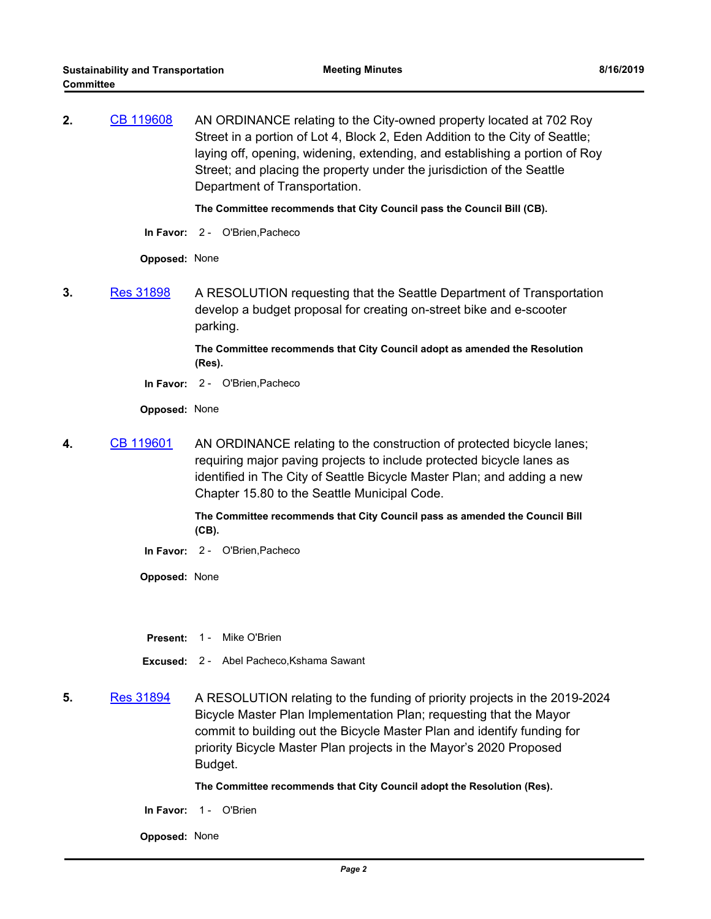**2.** [CB 119608](http://seattle.legistar.com/gateway.aspx?m=l&id=/matter.aspx?key=8929) AN ORDINANCE relating to the City-owned property located at 702 Roy Street in a portion of Lot 4, Block 2, Eden Addition to the City of Seattle; laying off, opening, widening, extending, and establishing a portion of Roy Street; and placing the property under the jurisdiction of the Seattle Department of Transportation.

**The Committee recommends that City Council pass the Council Bill (CB).**

**In Favor:** 2 - O'Brien,Pacheco

**Opposed:** None

**3.** [Res 31898](http://seattle.legistar.com/gateway.aspx?m=l&id=/matter.aspx?key=8972) A RESOLUTION requesting that the Seattle Department of Transportation develop a budget proposal for creating on-street bike and e-scooter parking.

> **The Committee recommends that City Council adopt as amended the Resolution (Res).**

**In Favor:** 2 - O'Brien,Pacheco

**Opposed:** None

**4.** [CB 119601](http://seattle.legistar.com/gateway.aspx?m=l&id=/matter.aspx?key=8927) AN ORDINANCE relating to the construction of protected bicycle lanes; requiring major paving projects to include protected bicycle lanes as identified in The City of Seattle Bicycle Master Plan; and adding a new Chapter 15.80 to the Seattle Municipal Code.

> **The Committee recommends that City Council pass as amended the Council Bill (CB).**

**In Favor:** 2 - O'Brien,Pacheco

**Opposed:** None

- **Present: 1 Mike O'Brien**
- **Excused:** 2 Abel Pacheco,Kshama Sawant
- **5.** [Res 31894](http://seattle.legistar.com/gateway.aspx?m=l&id=/matter.aspx?key=8928) A RESOLUTION relating to the funding of priority projects in the 2019-2024 Bicycle Master Plan Implementation Plan; requesting that the Mayor commit to building out the Bicycle Master Plan and identify funding for priority Bicycle Master Plan projects in the Mayor's 2020 Proposed Budget.

**The Committee recommends that City Council adopt the Resolution (Res).**

**In Favor:** 1 - O'Brien

**Opposed:** None